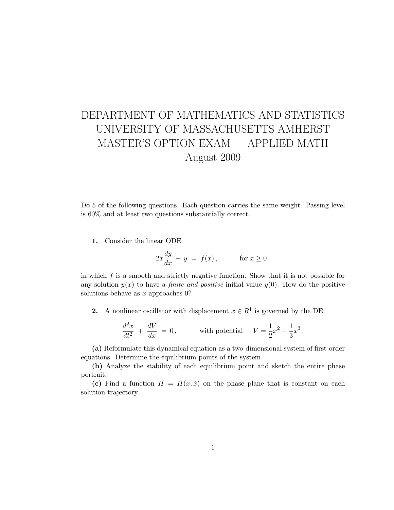## DEPARTMENT OF MATHEMATICS AND STATISTICS UNIVERSITY OF MASSACHUSETTS AMHERST MASTER'S OPTION EXAM — APPLIED MATH August 2009

Do 5 of the following questions. Each question carries the same weight. Passing level is 60% and at least two questions substantially correct.

1. Consider the linear ODE

$$
2x\frac{dy}{dx} + y = f(x), \quad \text{for } x \ge 0,
$$

in which  $f$  is a smooth and strictly negative function. Show that it is not possible for any solution  $y(x)$  to have a *finite and positive* initial value  $y(0)$ . How do the positive solutions behave as x approaches 0?

2. A nonlinear oscillator with displacement  $x \in R^1$  is governed by the DE:

$$
\frac{d^2x}{dt^2} + \frac{dV}{dx} = 0, \qquad \text{with potential} \quad V = \frac{1}{2}x^2 - \frac{1}{3}x^3.
$$

(a) Reformulate this dynamical equation as a two-dimensional system of first-order equations. Determine the equilibrium points of the system.

(b) Analyze the stability of each equilibrium point and sketch the entire phase portrait.

(c) Find a function  $H = H(x, \dot{x})$  on the phase plane that is constant on each solution trajectory.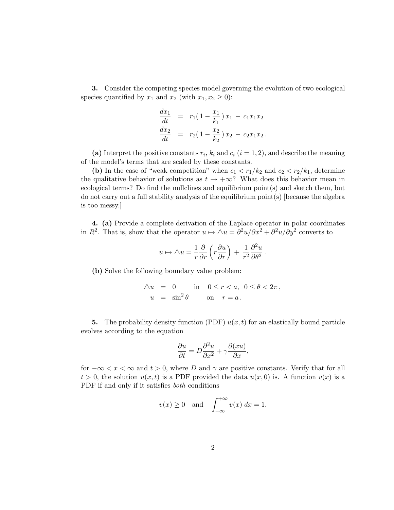3. Consider the competing species model governing the evolution of two ecological species quantified by  $x_1$  and  $x_2$  (with  $x_1, x_2 \ge 0$ ):

$$
\frac{dx_1}{dt} = r_1(1 - \frac{x_1}{k_1})x_1 - c_1x_1x_2
$$
  

$$
\frac{dx_2}{dt} = r_2(1 - \frac{x_2}{k_2})x_2 - c_2x_1x_2.
$$

(a) Interpret the positive constants  $r_i$ ,  $k_i$  and  $c_i$   $(i = 1, 2)$ , and describe the meaning of the model's terms that are scaled by these constants.

(b) In the case of "weak competition" when  $c_1 < r_1/k_2$  and  $c_2 < r_2/k_1$ , determine the qualitative behavior of solutions as  $t \to +\infty$ ? What does this behavior mean in ecological terms? Do find the nullclines and equilibrium point(s) and sketch them, but do not carry out a full stability analysis of the equilibrium point(s) [because the algebra is too messy.]

4. (a) Provide a complete derivation of the Laplace operator in polar coordinates in  $R^2$ . That is, show that the operator  $u \mapsto \Delta u = \frac{\partial^2 u}{\partial x^2} + \frac{\partial^2 u}{\partial y^2}$  converts to

$$
u\mapsto\triangle u=\frac{1}{r}\frac{\partial}{\partial r}\left(r\frac{\partial u}{\partial r}\right)\,+\,\frac{1}{r^2}\frac{\partial^2 u}{\partial \theta^2}
$$

.

(b) Solve the following boundary value problem:

$$
\Delta u = 0 \quad \text{in} \quad 0 \le r < a, \quad 0 \le \theta < 2\pi \,,
$$
\n
$$
u = \sin^2 \theta \quad \text{on} \quad r = a \,.
$$

5. The probability density function (PDF)  $u(x, t)$  for an elastically bound particle evolves according to the equation

$$
\frac{\partial u}{\partial t} = D \frac{\partial^2 u}{\partial x^2} + \gamma \frac{\partial (xu)}{\partial x},
$$

for  $-\infty < x < \infty$  and  $t > 0$ , where D and  $\gamma$  are positive constants. Verify that for all  $t > 0$ , the solution  $u(x, t)$  is a PDF provided the data  $u(x, 0)$  is. A function  $v(x)$  is a PDF if and only if it satisfies both conditions

$$
v(x) \ge 0
$$
 and  $\int_{-\infty}^{+\infty} v(x) dx = 1$ .